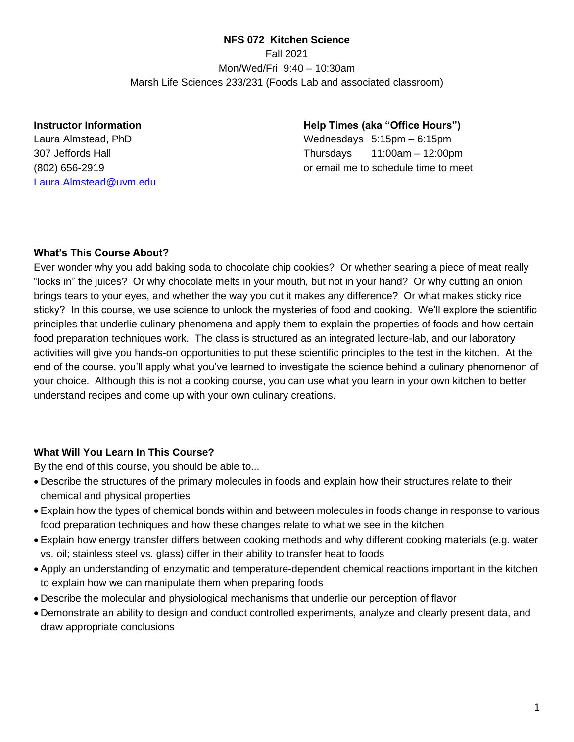## **NFS 072 Kitchen Science**

Fall 2021 Mon/Wed/Fri 9:40 – 10:30am Marsh Life Sciences 233/231 (Foods Lab and associated classroom)

#### **Instructor Information**

Laura Almstead, PhD 307 Jeffords Hall (802) 656-2919 [Laura.Almstead@uvm.edu](mailto:Laura.Almstead@uvm.edu) **Help Times (aka "Office Hours")** Wednesdays 5:15pm – 6:15pm Thursdays 11:00am – 12:00pm or email me to schedule time to meet

## **What's This Course About?**

Ever wonder why you add baking soda to chocolate chip cookies? Or whether searing a piece of meat really "locks in" the juices? Or why chocolate melts in your mouth, but not in your hand? Or why cutting an onion brings tears to your eyes, and whether the way you cut it makes any difference? Or what makes sticky rice sticky? In this course, we use science to unlock the mysteries of food and cooking. We'll explore the scientific principles that underlie culinary phenomena and apply them to explain the properties of foods and how certain food preparation techniques work. The class is structured as an integrated lecture-lab, and our laboratory activities will give you hands-on opportunities to put these scientific principles to the test in the kitchen. At the end of the course, you'll apply what you've learned to investigate the science behind a culinary phenomenon of your choice. Although this is not a cooking course, you can use what you learn in your own kitchen to better understand recipes and come up with your own culinary creations.

## **What Will You Learn In This Course?**

By the end of this course, you should be able to...

- Describe the structures of the primary molecules in foods and explain how their structures relate to their chemical and physical properties
- Explain how the types of chemical bonds within and between molecules in foods change in response to various food preparation techniques and how these changes relate to what we see in the kitchen
- Explain how energy transfer differs between cooking methods and why different cooking materials (e.g. water vs. oil; stainless steel vs. glass) differ in their ability to transfer heat to foods
- Apply an understanding of enzymatic and temperature-dependent chemical reactions important in the kitchen to explain how we can manipulate them when preparing foods
- Describe the molecular and physiological mechanisms that underlie our perception of flavor
- Demonstrate an ability to design and conduct controlled experiments, analyze and clearly present data, and draw appropriate conclusions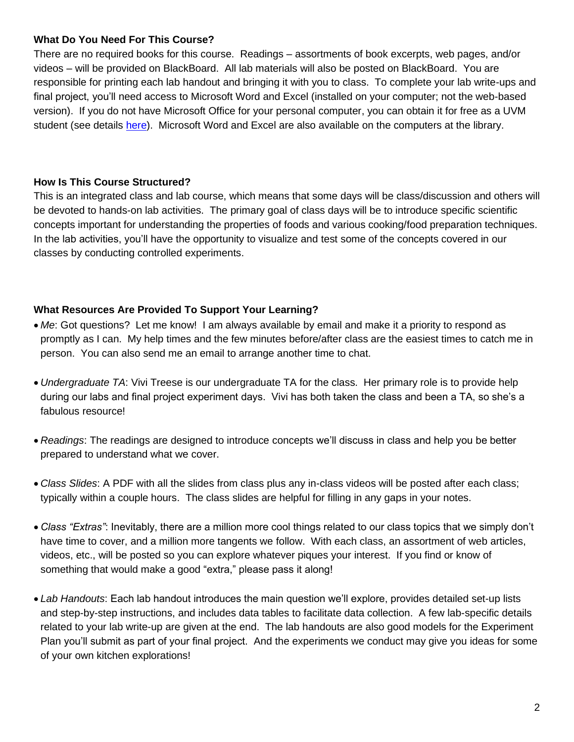## **What Do You Need For This Course?**

There are no required books for this course. Readings – assortments of book excerpts, web pages, and/or videos – will be provided on BlackBoard. All lab materials will also be posted on BlackBoard. You are responsible for printing each lab handout and bringing it with you to class. To complete your lab write-ups and final project, you'll need access to Microsoft Word and Excel (installed on your computer; not the web-based version). If you do not have Microsoft Office for your personal computer, you can obtain it for free as a UVM student (see details [here\)](https://www.uvm.edu/it/kb/article/office-365/). Microsoft Word and Excel are also available on the computers at the library.

## **How Is This Course Structured?**

This is an integrated class and lab course, which means that some days will be class/discussion and others will be devoted to hands-on lab activities. The primary goal of class days will be to introduce specific scientific concepts important for understanding the properties of foods and various cooking/food preparation techniques. In the lab activities, you'll have the opportunity to visualize and test some of the concepts covered in our classes by conducting controlled experiments.

## **What Resources Are Provided To Support Your Learning?**

- *Me*: Got questions? Let me know! I am always available by email and make it a priority to respond as promptly as I can. My help times and the few minutes before/after class are the easiest times to catch me in person. You can also send me an email to arrange another time to chat.
- *Undergraduate TA*: Vivi Treese is our undergraduate TA for the class. Her primary role is to provide help during our labs and final project experiment days. Vivi has both taken the class and been a TA, so she's a fabulous resource!
- *Readings*: The readings are designed to introduce concepts we'll discuss in class and help you be better prepared to understand what we cover.
- *Class Slides*: A PDF with all the slides from class plus any in-class videos will be posted after each class; typically within a couple hours. The class slides are helpful for filling in any gaps in your notes.
- *Class "Extras"*: Inevitably, there are a million more cool things related to our class topics that we simply don't have time to cover, and a million more tangents we follow. With each class, an assortment of web articles, videos, etc., will be posted so you can explore whatever piques your interest. If you find or know of something that would make a good "extra," please pass it along!
- *Lab Handouts*: Each lab handout introduces the main question we'll explore, provides detailed set-up lists and step-by-step instructions, and includes data tables to facilitate data collection. A few lab-specific details related to your lab write-up are given at the end. The lab handouts are also good models for the Experiment Plan you'll submit as part of your final project. And the experiments we conduct may give you ideas for some of your own kitchen explorations!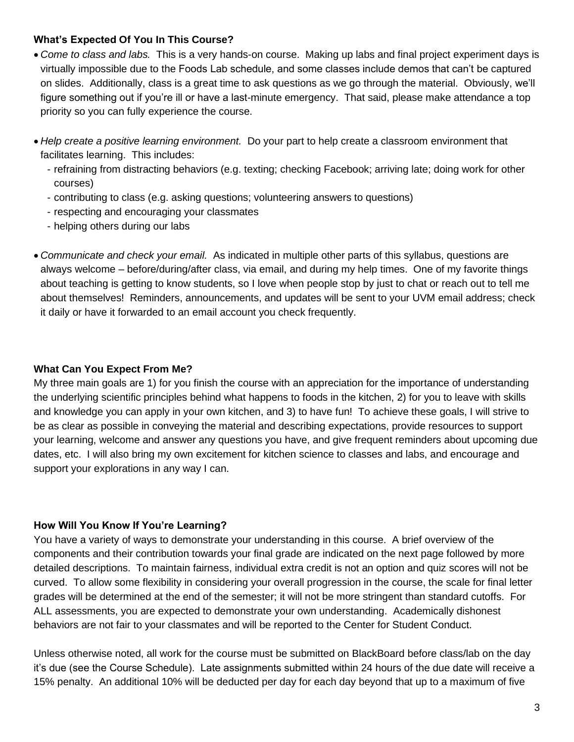## **What's Expected Of You In This Course?**

- *Come to class and labs.* This is a very hands-on course. Making up labs and final project experiment days is virtually impossible due to the Foods Lab schedule, and some classes include demos that can't be captured on slides. Additionally, class is a great time to ask questions as we go through the material. Obviously, we'll figure something out if you're ill or have a last-minute emergency. That said, please make attendance a top priority so you can fully experience the course.
- *Help create a positive learning environment.* Do your part to help create a classroom environment that facilitates learning. This includes:
	- refraining from distracting behaviors (e.g. texting; checking Facebook; arriving late; doing work for other courses)
	- contributing to class (e.g. asking questions; volunteering answers to questions)
	- respecting and encouraging your classmates
	- helping others during our labs
- *Communicate and check your email.* As indicated in multiple other parts of this syllabus, questions are always welcome – before/during/after class, via email, and during my help times. One of my favorite things about teaching is getting to know students, so I love when people stop by just to chat or reach out to tell me about themselves! Reminders, announcements, and updates will be sent to your UVM email address; check it daily or have it forwarded to an email account you check frequently.

#### **What Can You Expect From Me?**

My three main goals are 1) for you finish the course with an appreciation for the importance of understanding the underlying scientific principles behind what happens to foods in the kitchen, 2) for you to leave with skills and knowledge you can apply in your own kitchen, and 3) to have fun! To achieve these goals, I will strive to be as clear as possible in conveying the material and describing expectations, provide resources to support your learning, welcome and answer any questions you have, and give frequent reminders about upcoming due dates, etc. I will also bring my own excitement for kitchen science to classes and labs, and encourage and support your explorations in any way I can.

## **How Will You Know If You're Learning?**

You have a variety of ways to demonstrate your understanding in this course. A brief overview of the components and their contribution towards your final grade are indicated on the next page followed by more detailed descriptions. To maintain fairness, individual extra credit is not an option and quiz scores will not be curved. To allow some flexibility in considering your overall progression in the course, the scale for final letter grades will be determined at the end of the semester; it will not be more stringent than standard cutoffs. For ALL assessments, you are expected to demonstrate your own understanding. Academically dishonest behaviors are not fair to your classmates and will be reported to the Center for Student Conduct.

Unless otherwise noted, all work for the course must be submitted on BlackBoard before class/lab on the day it's due (see the Course Schedule). Late assignments submitted within 24 hours of the due date will receive a 15% penalty. An additional 10% will be deducted per day for each day beyond that up to a maximum of five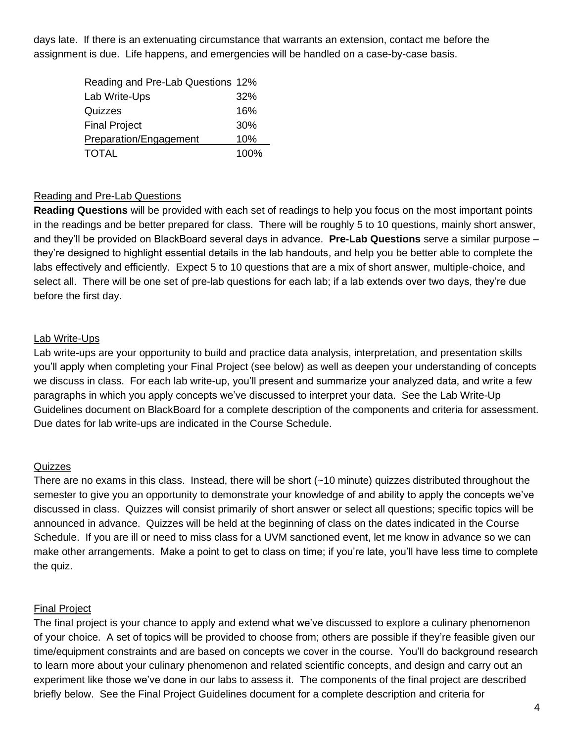days late. If there is an extenuating circumstance that warrants an extension, contact me before the assignment is due. Life happens, and emergencies will be handled on a case-by-case basis.

| Reading and Pre-Lab Questions 12% |      |
|-----------------------------------|------|
| Lab Write-Ups                     | 32%  |
| Quizzes                           | 16%  |
| <b>Final Project</b>              | 30%  |
| Preparation/Engagement            | 10%  |
| <b>TOTAL</b>                      | 100% |

## Reading and Pre-Lab Questions

**Reading Questions** will be provided with each set of readings to help you focus on the most important points in the readings and be better prepared for class. There will be roughly 5 to 10 questions, mainly short answer, and they'll be provided on BlackBoard several days in advance. **Pre-Lab Questions** serve a similar purpose – they're designed to highlight essential details in the lab handouts, and help you be better able to complete the labs effectively and efficiently. Expect 5 to 10 questions that are a mix of short answer, multiple-choice, and select all. There will be one set of pre-lab questions for each lab; if a lab extends over two days, they're due before the first day.

## Lab Write-Ups

Lab write-ups are your opportunity to build and practice data analysis, interpretation, and presentation skills you'll apply when completing your Final Project (see below) as well as deepen your understanding of concepts we discuss in class. For each lab write-up, you'll present and summarize your analyzed data, and write a few paragraphs in which you apply concepts we've discussed to interpret your data. See the Lab Write-Up Guidelines document on BlackBoard for a complete description of the components and criteria for assessment. Due dates for lab write-ups are indicated in the Course Schedule.

## **Quizzes**

There are no exams in this class. Instead, there will be short (~10 minute) quizzes distributed throughout the semester to give you an opportunity to demonstrate your knowledge of and ability to apply the concepts we've discussed in class. Quizzes will consist primarily of short answer or select all questions; specific topics will be announced in advance. Quizzes will be held at the beginning of class on the dates indicated in the Course Schedule. If you are ill or need to miss class for a UVM sanctioned event, let me know in advance so we can make other arrangements. Make a point to get to class on time; if you're late, you'll have less time to complete the quiz.

## Final Project

The final project is your chance to apply and extend what we've discussed to explore a culinary phenomenon of your choice. A set of topics will be provided to choose from; others are possible if they're feasible given our time/equipment constraints and are based on concepts we cover in the course. You'll do background research to learn more about your culinary phenomenon and related scientific concepts, and design and carry out an experiment like those we've done in our labs to assess it. The components of the final project are described briefly below. See the Final Project Guidelines document for a complete description and criteria for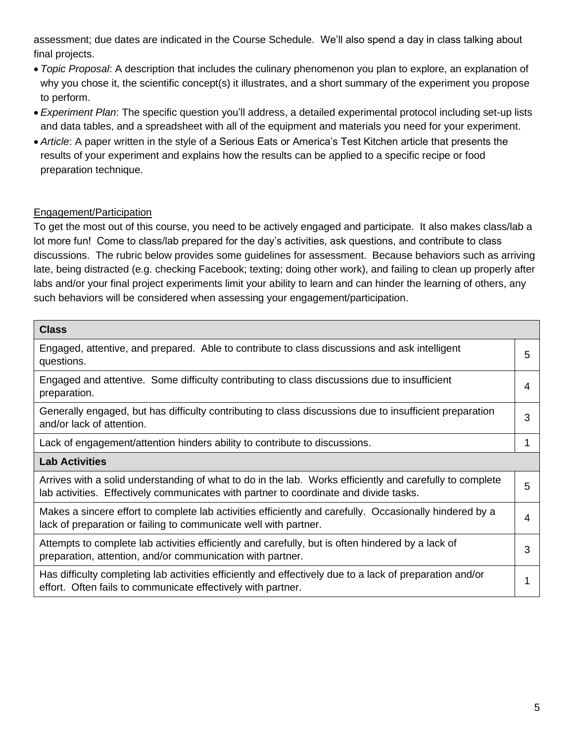assessment; due dates are indicated in the Course Schedule. We'll also spend a day in class talking about final projects.

- *Topic Proposal*: A description that includes the culinary phenomenon you plan to explore, an explanation of why you chose it, the scientific concept(s) it illustrates, and a short summary of the experiment you propose to perform.
- *Experiment Plan*: The specific question you'll address, a detailed experimental protocol including set-up lists and data tables, and a spreadsheet with all of the equipment and materials you need for your experiment.
- *Article*: A paper written in the style of a Serious Eats or America's Test Kitchen article that presents the results of your experiment and explains how the results can be applied to a specific recipe or food preparation technique.

# Engagement/Participation

To get the most out of this course, you need to be actively engaged and participate. It also makes class/lab a lot more fun! Come to class/lab prepared for the day's activities, ask questions, and contribute to class discussions. The rubric below provides some guidelines for assessment. Because behaviors such as arriving late, being distracted (e.g. checking Facebook; texting; doing other work), and failing to clean up properly after labs and/or your final project experiments limit your ability to learn and can hinder the learning of others, any such behaviors will be considered when assessing your engagement/participation.

| <b>Class</b>                                                                                                                                                                                      |   |  |
|---------------------------------------------------------------------------------------------------------------------------------------------------------------------------------------------------|---|--|
| Engaged, attentive, and prepared. Able to contribute to class discussions and ask intelligent<br>questions.                                                                                       | 5 |  |
| Engaged and attentive. Some difficulty contributing to class discussions due to insufficient<br>preparation.                                                                                      | 4 |  |
| Generally engaged, but has difficulty contributing to class discussions due to insufficient preparation<br>and/or lack of attention.                                                              | 3 |  |
| Lack of engagement/attention hinders ability to contribute to discussions.                                                                                                                        |   |  |
| <b>Lab Activities</b>                                                                                                                                                                             |   |  |
| Arrives with a solid understanding of what to do in the lab. Works efficiently and carefully to complete<br>lab activities. Effectively communicates with partner to coordinate and divide tasks. | 5 |  |
| Makes a sincere effort to complete lab activities efficiently and carefully. Occasionally hindered by a<br>lack of preparation or failing to communicate well with partner.                       | 4 |  |
| Attempts to complete lab activities efficiently and carefully, but is often hindered by a lack of<br>preparation, attention, and/or communication with partner.                                   | 3 |  |
| Has difficulty completing lab activities efficiently and effectively due to a lack of preparation and/or<br>effort. Often fails to communicate effectively with partner.                          |   |  |